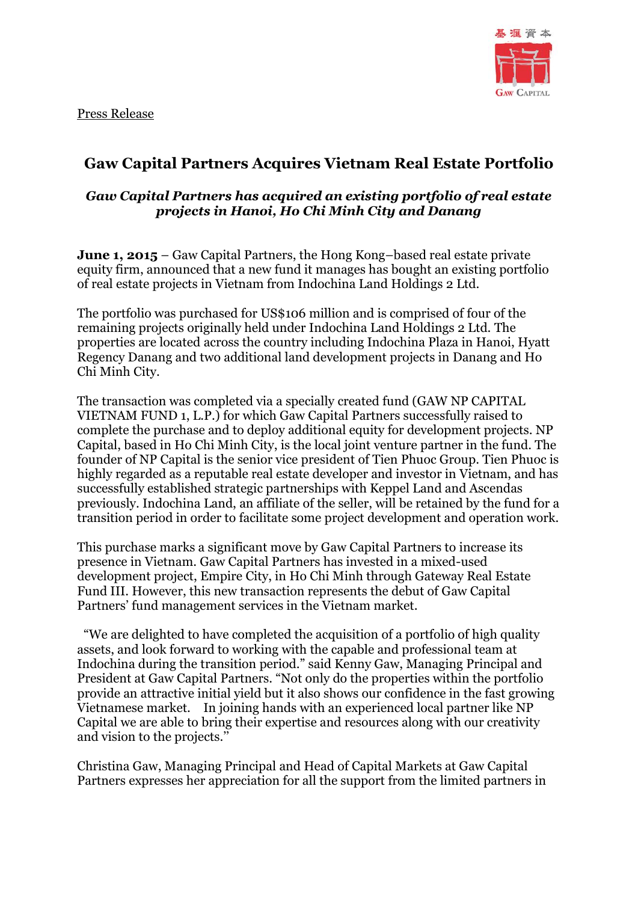Press Release



# **Gaw Capital Partners Acquires Vietnam Real Estate Portfolio**

## *Gaw Capital Partners has acquired an existing portfolio of real estate projects in Hanoi, Ho Chi Minh City and Danang*

**June 1, 2015** – Gaw Capital Partners, the Hong Kong–based real estate private equity firm, announced that a new fund it manages has bought an existing portfolio of real estate projects in Vietnam from Indochina Land Holdings 2 Ltd.

The portfolio was purchased for US\$106 million and is comprised of four of the remaining projects originally held under Indochina Land Holdings 2 Ltd. The properties are located across the country including Indochina Plaza in Hanoi, Hyatt Regency Danang and two additional land development projects in Danang and Ho Chi Minh City.

The transaction was completed via a specially created fund (GAW NP CAPITAL VIETNAM FUND 1, L.P.) for which Gaw Capital Partners successfully raised to complete the purchase and to deploy additional equity for development projects. NP Capital, based in Ho Chi Minh City, is the local joint venture partner in the fund. The founder of NP Capital is the senior vice president of Tien Phuoc Group. Tien Phuoc is highly regarded as a reputable real estate developer and investor in Vietnam, and has successfully established strategic partnerships with Keppel Land and Ascendas previously. Indochina Land, an affiliate of the seller, will be retained by the fund for a transition period in order to facilitate some project development and operation work.

This purchase marks a significant move by Gaw Capital Partners to increase its presence in Vietnam. Gaw Capital Partners has invested in a mixed-used development project, Empire City, in Ho Chi Minh through Gateway Real Estate Fund III. However, this new transaction represents the debut of Gaw Capital Partners' fund management services in the Vietnam market.

"We are delighted to have completed the acquisition of a portfolio of high quality assets, and look forward to working with the capable and professional team at Indochina during the transition period." said Kenny Gaw, Managing Principal and President at Gaw Capital Partners. "Not only do the properties within the portfolio provide an attractive initial yield but it also shows our confidence in the fast growing Vietnamese market. In joining hands with an experienced local partner like NP Capital we are able to bring their expertise and resources along with our creativity and vision to the projects.''

Christina Gaw, Managing Principal and Head of Capital Markets at Gaw Capital Partners expresses her appreciation for all the support from the limited partners in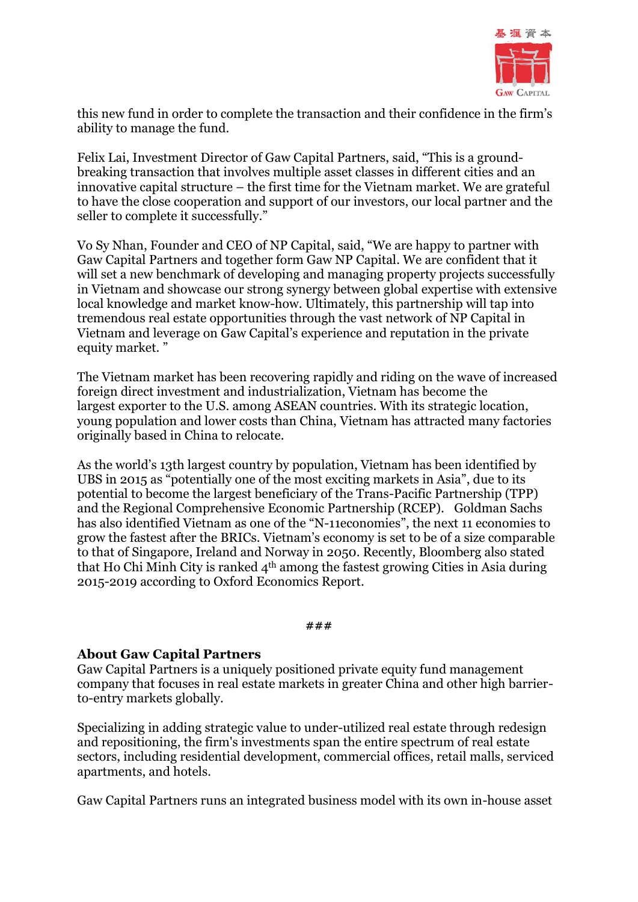

this new fund in order to complete the transaction and their confidence in the firm's ability to manage the fund.

Felix Lai, Investment Director of Gaw Capital Partners, said, "This is a groundbreaking transaction that involves multiple asset classes in different cities and an innovative capital structure – the first time for the Vietnam market. We are grateful to have the close cooperation and support of our investors, our local partner and the seller to complete it successfully."

Vo Sy Nhan, Founder and CEO of NP Capital, said, "We are happy to partner with Gaw Capital Partners and together form Gaw NP Capital. We are confident that it will set a new benchmark of developing and managing property projects successfully in Vietnam and showcase our strong synergy between global expertise with extensive local knowledge and market know-how. Ultimately, this partnership will tap into tremendous real estate opportunities through the vast network of NP Capital in Vietnam and leverage on Gaw Capital's experience and reputation in the private equity market. "

The Vietnam market has been recovering rapidly and riding on the wave of increased foreign direct investment and industrialization, Vietnam has become the largest exporter to the U.S. among ASEAN countries. With its strategic location, young population and lower costs than China, Vietnam has attracted many factories originally based in China to relocate.

As the world's 13th largest country by population, Vietnam has been identified by UBS in 2015 as "potentially one of the most exciting markets in Asia", due to its potential to become the largest beneficiary of the Trans-Pacific Partnership (TPP) and the Regional Comprehensive Economic Partnership (RCEP). Goldman Sachs has also identified Vietnam as one of the "N-11economies", the next 11 economies to grow the fastest after the BRICs. Vietnam's economy is set to be of a size comparable to that of Singapore, Ireland and Norway in 2050. Recently, Bloomberg also stated that Ho Chi Minh City is ranked 4th among the fastest growing Cities in Asia during 2015-2019 according to Oxford Economics Report.

#### **###**

### **About Gaw Capital Partners**

Gaw Capital Partners is a uniquely positioned private equity fund management company that focuses in real estate markets in greater China and other high barrierto-entry markets globally.

Specializing in adding strategic value to under-utilized real estate through redesign and repositioning, the firm's investments span the entire spectrum of real estate sectors, including residential development, commercial offices, retail malls, serviced apartments, and hotels.

Gaw Capital Partners runs an integrated business model with its own in-house asset